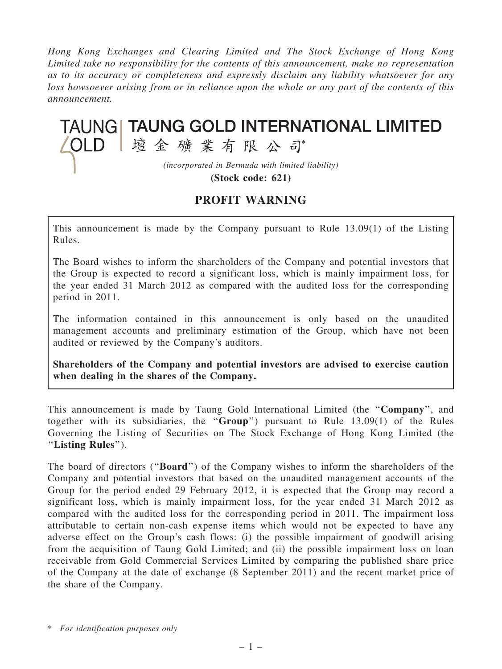Hong Kong Exchanges and Clearing Limited and The Stock Exchange of Hong Kong Limited take no responsibility for the contents of this announcement, make no representation as to its accuracy or completeness and expressly disclaim any liability whatsoever for any loss howsoever arising from or in reliance upon the whole or any part of the contents of this announcement.

## TAUNG | TAUNG GOLD INTERNATIONAL LIMITED △OLD |壇金礦業有限公司 (incorporated in Bermuda with limited liability)

(Stock code: 621)

## PROFIT WARNING

This announcement is made by the Company pursuant to Rule 13.09(1) of the Listing Rules.

The Board wishes to inform the shareholders of the Company and potential investors that the Group is expected to record a significant loss, which is mainly impairment loss, for the year ended 31 March 2012 as compared with the audited loss for the corresponding period in 2011.

The information contained in this announcement is only based on the unaudited management accounts and preliminary estimation of the Group, which have not been audited or reviewed by the Company's auditors.

Shareholders of the Company and potential investors are advised to exercise caution when dealing in the shares of the Company.

This announcement is made by Taung Gold International Limited (the ''Company'', and together with its subsidiaries, the ''Group'') pursuant to Rule 13.09(1) of the Rules Governing the Listing of Securities on The Stock Exchange of Hong Kong Limited (the ''Listing Rules'').

The board of directors (''Board'') of the Company wishes to inform the shareholders of the Company and potential investors that based on the unaudited management accounts of the Group for the period ended 29 February 2012, it is expected that the Group may record a significant loss, which is mainly impairment loss, for the year ended 31 March 2012 as compared with the audited loss for the corresponding period in 2011. The impairment loss attributable to certain non-cash expense items which would not be expected to have any adverse effect on the Group's cash flows: (i) the possible impairment of goodwill arising from the acquisition of Taung Gold Limited; and (ii) the possible impairment loss on loan receivable from Gold Commercial Services Limited by comparing the published share price of the Company at the date of exchange (8 September 2011) and the recent market price of the share of the Company.

\* For identification purposes only